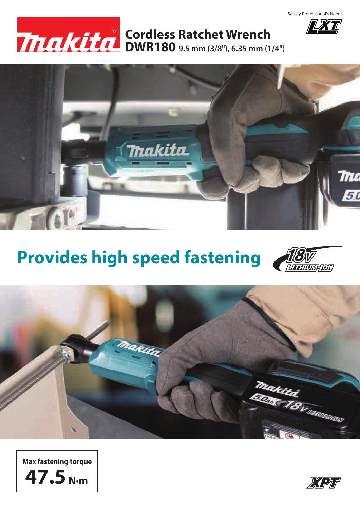

**IXT** 



## **DWR180 9.5 mm (3/8"), 6.35 mm (1/4") Cordless Ratchet Wrench**



## **Provides high speed fastening**